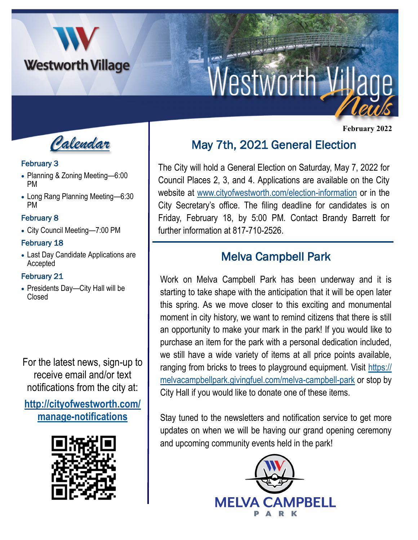

# Westworth V

*Calendar*

#### February 3

- Planning & Zoning Meeting—6:00 PM
- Long Rang Planning Meeting—6:30 PM

### February 8

• City Council Meeting—7:00 PM

## February 18

• Last Day Candidate Applications are Accepted

#### February 21

• Presidents Day—City Hall will be Closed

For the latest news, sign-up to receive email and/or text notifications from the city at:

**[http://cityofwestworth.com/](http://cityofwestworth.com/manage-notifications) [manage-notifications](http://cityofwestworth.com/manage-notifications)**



# May 7th, 2021 General Election

The City will hold a General Election on Saturday, May 7, 2022 for Council Places 2, 3, and 4. Applications are available on the City website at [www.cityofwestworth.com/election-information](http://www.cityofwestworth.com/election-information) or in the City Secretary's office. The filing deadline for candidates is on Friday, February 18, by 5:00 PM. Contact Brandy Barrett for further information at 817-710-2526.

# Melva Campbell Park

Work on Melva Campbell Park has been underway and it is starting to take shape with the anticipation that it will be open later this spring. As we move closer to this exciting and monumental moment in city history, we want to remind citizens that there is still an opportunity to make your mark in the park! If you would like to purchase an item for the park with a personal dedication included, we still have a wide variety of items at all price points available, ranging from bricks to trees to playground equipment. Visit [https://](https://melvacampbellpark.givingfuel.com/melva-campbell-park) [melvacampbellpark.givingfuel.com/melva-campbell-park](https://melvacampbellpark.givingfuel.com/melva-campbell-park) or stop by City Hall if you would like to donate one of these items.

Stay tuned to the newsletters and notification service to get more updates on when we will be having our grand opening ceremony and upcoming community events held in the park!



 **February 2022**